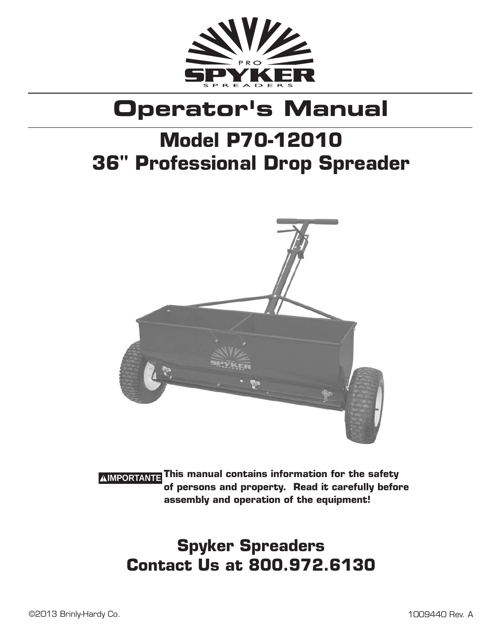

# **Operator's Manual**

# **Model P70-12010 36" Professional Drop Spreader**



**This manual contains information for the safety IMPORTANTE of persons and property. Read it carefully before assembly and operation of the equipment!**

**Spyker Spreaders Contact Us at 800.972.6130**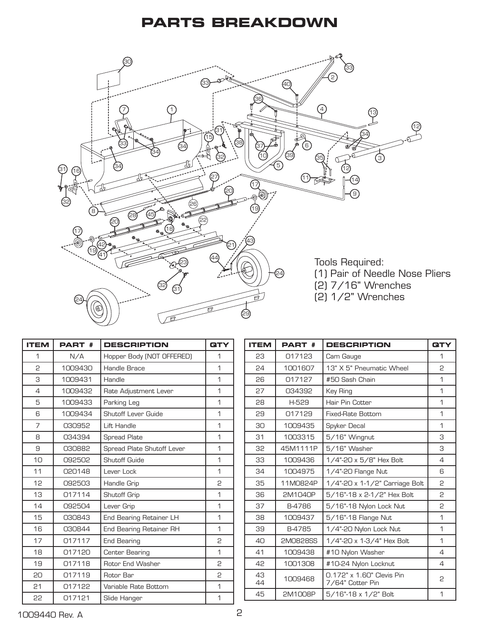### **PARTS BREAKDOWN**



| <b>ITEM</b> | <b>PART#</b> | <b>DESCRIPTION</b>         |   |
|-------------|--------------|----------------------------|---|
| 1           | N/A          | Hopper Body (NOT OFFERED)  | 1 |
| 2           | 1009430      | <b>Handle Brace</b>        | 1 |
| 3           | 1009431      | Handle                     | 1 |
| 4           | 1009432      | Rate Adjustment Lever      | 1 |
| 5           | 1009433      | Parking Leg                | 1 |
| 6           | 1009434      | <b>Shutoff Lever Guide</b> | 1 |
| 7           | 030952       | Lift Handle                | 1 |
| 8           | 034394       | <b>Spread Plate</b>        | 1 |
| 9           | 030882       | Spread Plate Shutoff Lever | 1 |
| 10          | 092502       | <b>Shutoff Guide</b>       | 1 |
| 11          | 020148       | Lever Lock                 | 1 |
| 12          | 092503       | Handle Grip                | 2 |
| 13          | 017114       | Shutoff Grip               | 1 |
| 14          | 092504       | Lever Grip                 | 1 |
| 15          | 030843       | End Bearing Retainer LH    | 1 |
| 16          | 030844       | End Bearing Retainer RH    | 1 |
| 17          | 017117       | <b>End Bearing</b>         | 5 |
| 18          | 017120       | Center Bearing             | 1 |
| 19          | 017118       | Rotor End Washer           | 2 |
| 20          | 017119       | Rotor Bar                  | 5 |
| 21          | 017122       | Variable Rate Bottom       | 1 |
| 55          | 017121       | Slide Hanger               | 1 |

| <b>ITEM</b> | <b>PART#</b> | <b>DESCRIPTION</b>                            | QTY |
|-------------|--------------|-----------------------------------------------|-----|
| 23          | 017123       | Cam Gauge                                     | 1   |
| 24          | 1001607      | 13" X 5" Pneumatic Wheel                      | 2   |
| 26          | 017127       | #50 Sash Chain                                | 1   |
| 27          | 034392       | Key Ring                                      | 1   |
| 28          | H-529        | Hair Pin Cotter                               | 1   |
| 29          | 017129       | <b>Fixed-Rate Bottom</b>                      | 1   |
| 30          | 1009435      | Spyker Decal                                  | 1   |
| 31          | 1003315      | 5/16" Wingnut                                 | 3   |
| 32          | 45M1111P     | 5/16" Washer                                  | З   |
| 33          | 1009436      | 1/4"-20 x 5/8" Hex Bolt                       | 4   |
| 34          | 1004975      | 1/4"-20 Flange Nut                            | 6   |
| 35          | 11M0824P     | 1/4"-20 x 1-1/2" Carriage Bolt                | 5   |
| 36          | 2M1040P      | 5/16"-18 x 2-1/2" Hex Bolt                    | 5   |
| 37          | B-4786       | 5/16"-18 Nylon Lock Nut                       | 5   |
| 38          | 1009437      | 5/16"-18 Flange Nut                           | 1   |
| 39          | B-4785       | 1/4"-20 Nylon Lock Nut                        | 1   |
| 40          | 2M0828SS     | 1/4"-20 x 1-3/4" Hex Bolt                     | 1   |
| 41          | 1009438      | #10 Nylon Washer                              | 4   |
| 42          | 1001308      | #10-24 Nylon Locknut                          | 4   |
| 43<br>44    | 1009468      | 0.172" x 1.60" Clevis Pin<br>7/64" Cotter Pin | 2   |
| 45          | 2M1008P      | 5/16"-18 x 1/2" Bolt                          | 1   |

1009440 Rev. A 2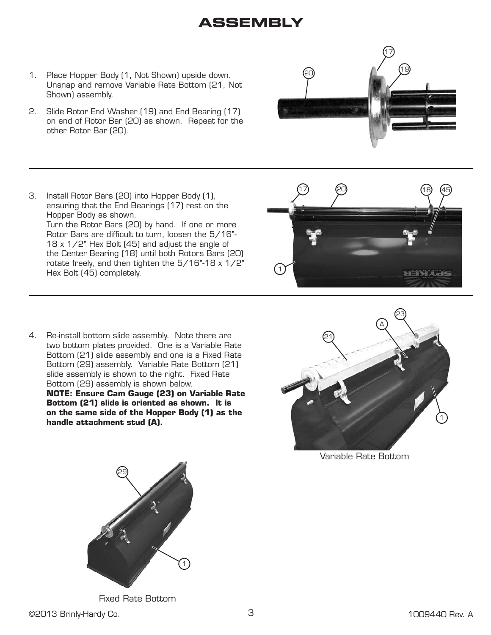1

- 1. Place Hopper Body (1, Not Shown) upside down. Unsnap and remove Variable Rate Bottom (21, Not Shown) assembly.
- 2. Slide Rotor End Washer (19) and End Bearing (17) on end of Rotor Bar (20) as shown. Repeat for the other Rotor Bar (20).
- 3. Install Rotor Bars (20) into Hopper Body (1), ensuring that the End Bearings (17) rest on the Hopper Body as shown. Turn the Rotor Bars (20) by hand. If one or more Rotor Bars are difficult to turn, loosen the  $5/16"$ -

18 x 1/2" Hex Bolt (45) and adjust the angle of the Center Bearing (18) until both Rotors Bars (20) rotate freely, and then tighten the 5/16"-18 x 1/2" Hex Bolt (45) completely.

4. Re-install bottom slide assembly. Note there are two bottom plates provided. One is a Variable Rate Bottom (21) slide assembly and one is a Fixed Rate Bottom (29) assembly. Variable Rate Bottom (21) slide assembly is shown to the right. Fixed Rate Bottom (29) assembly is shown below. **NOTE: Ensure Cam Gauge (23) on Variable Rate** 

**Bottom (21) slide is oriented as shown. It is on the same side of the Hopper Body (1) as the handle attachment stud (A).**



Variable Rate Bottom



Fixed Rate Bottom

©2013 Brinly-Hardy Co. 3 1009440 Rev. A

人 一百年



17**)** (20**)** (18) (45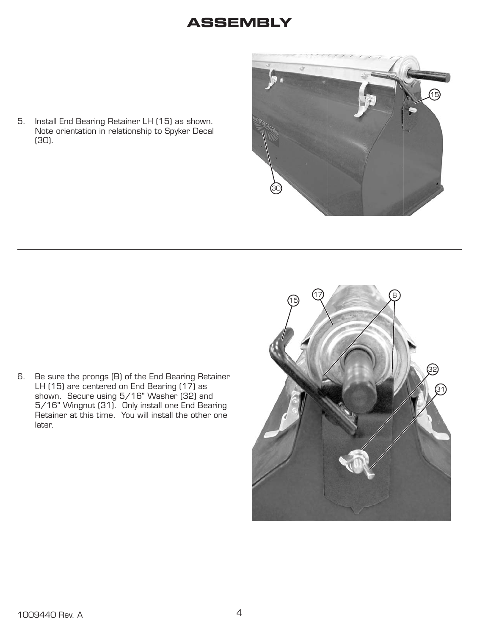

5. Install End Bearing Retainer LH (15) as shown. Note orientation in relationship to Spyker Decal (30).

6. Be sure the prongs (B) of the End Bearing Retainer LH (15) are centered on End Bearing (17) as shown. Secure using 5/16" Washer (32) and 5/16" Wingnut (31). Only install one End Bearing Retainer at this time. You will install the other one later.

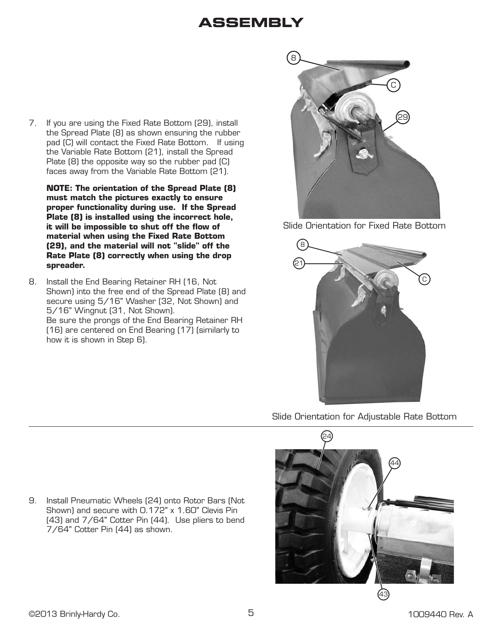7. If you are using the Fixed Rate Bottom (29), install the Spread Plate (8) as shown ensuring the rubber pad (C) will contact the Fixed Rate Bottom. If using the Variable Rate Bottom (21), install the Spread Plate (8) the opposite way so the rubber pad (C) faces away from the Variable Rate Bottom (21).

**NOTE: The orientation of the Spread Plate (8) must match the pictures exactly to ensure proper functionality during use. If the Spread Plate (8) is installed using the incorrect hole,**  it will be impossible to shut off the flow of **material when using the Fixed Rate Bottom (29), and the material will not "slide" off the Rate Plate (8) correctly when using the drop spreader.**

8. Install the End Bearing Retainer RH (16, Not Shown) into the free end of the Spread Plate (8) and secure using 5/16" Washer (32, Not Shown) and 5/16" Wingnut (31, Not Shown). Be sure the prongs of the End Bearing Retainer RH (16) are centered on End Bearing (17) (similarly to how it is shown in Step 6).



Slide Orientation for Fixed Rate Bottom



Slide Orientation for Adjustable Rate Bottom



9. Install Pneumatic Wheels (24) onto Rotor Bars (Not Shown) and secure with 0.172" x 1.60" Clevis Pin (43) and 7/64" Cotter Pin (44). Use pliers to bend 7/64" Cotter Pin (44) as shown.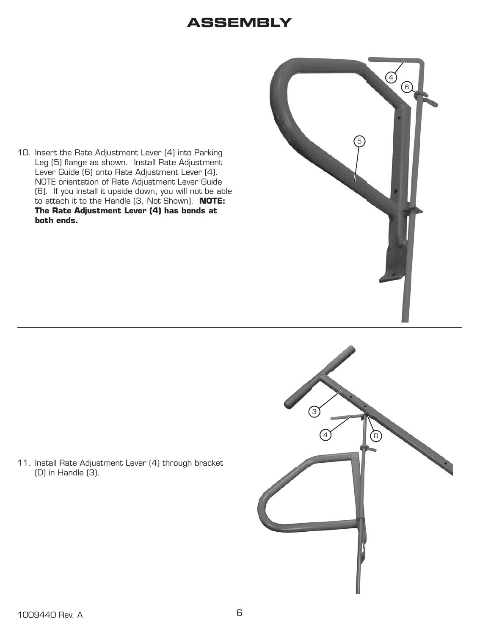





11. Install Rate Adjustment Lever (4) through bracket (D) in Handle (3).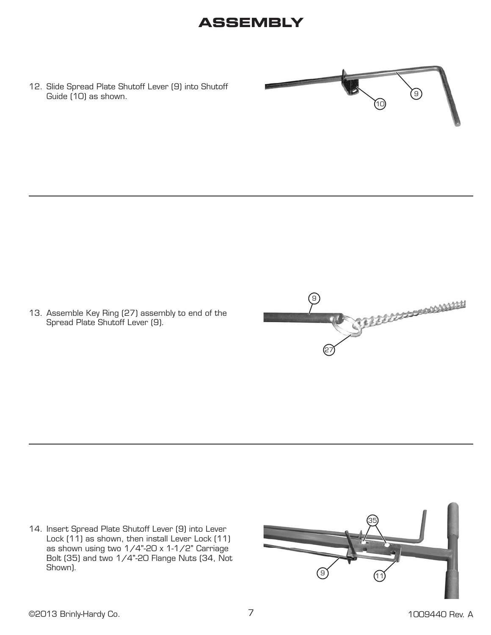12. Slide Spread Plate Shutoff Lever (9) into Shutoff Guide (10) as shown.



13. Assemble Key Ring (27) assembly to end of the Spread Plate Shutoff Lever (9).



14. Insert Spread Plate Shutoff Lever (9) into Lever Lock (11) as shown, then install Lever Lock (11) as shown using two 1/4"-20 x 1-1/2" Carriage Bolt (35) and two 1/4"-20 Flange Nuts (34, Not Shown).

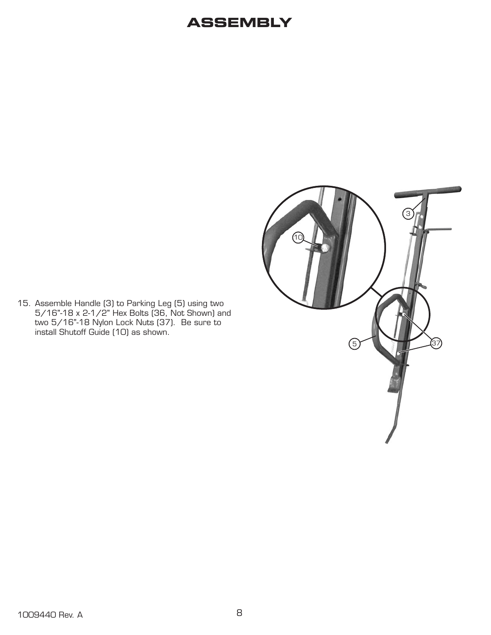15. Assemble Handle (3) to Parking Leg (5) using two 5/16"-18 x 2-1/2" Hex Bolts (36, Not Shown) and two 5/16"-18 Nylon Lock Nuts (37). Be sure to install Shutoff Guide (10) as shown.

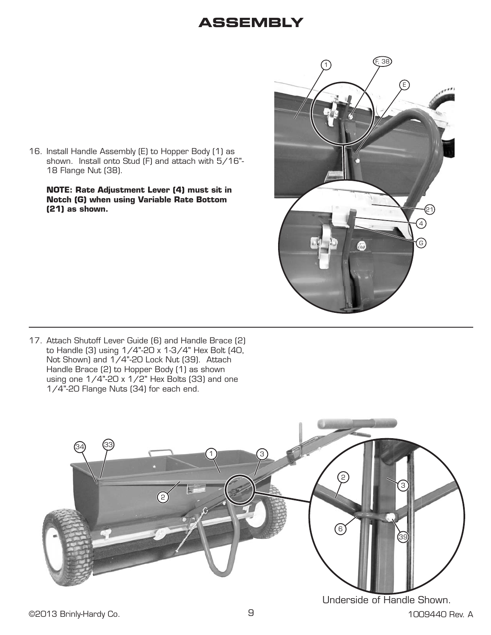16. Install Handle Assembly (E) to Hopper Body (1) as shown. Install onto Stud (F) and attach with 5/16"- 18 Flange Nut (38).

**NOTE: Rate Adjustment Lever (4) must sit in Notch (G) when using Variable Rate Bottom (21) as shown.**



17. Attach Shutoff Lever Guide (6) and Handle Brace (2) to Handle (3) using 1/4"-20 x 1-3/4" Hex Bolt (40, Not Shown) and 1/4"-20 Lock Nut (39). Attach Handle Brace (2) to Hopper Body (1) as shown using one 1/4"-20 x 1/2" Hex Bolts (33) and one 1/4"-20 Flange Nuts (34) for each end.



Underside of Handle Shown.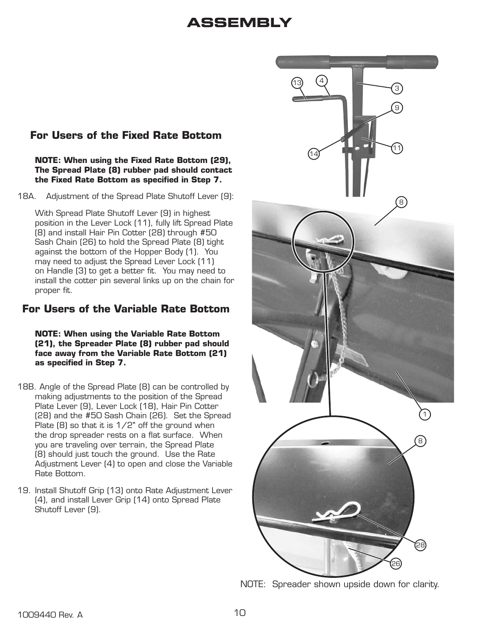#### **For Users of the Fixed Rate Bottom**

#### **NOTE: When using the Fixed Rate Bottom (29), The Spread Plate (8) rubber pad should contact**  the Fixed Rate Bottom as specified in Step 7.

18A. Adjustment of the Spread Plate Shutoff Lever (9):

With Spread Plate Shutoff Lever (9) in highest position in the Lever Lock (11), fully lift Spread Plate (8) and install Hair Pin Cotter (28) through #50 Sash Chain (26) to hold the Spread Plate (8) tight against the bottom of the Hopper Body (1). You may need to adjust the Spread Lever Lock (11) on Handle (3) to get a better fit. You may need to install the cotter pin several links up on the chain for proper fit.

#### **For Users of the Variable Rate Bottom**

**NOTE: When using the Variable Rate Bottom (21), the Spreader Plate (8) rubber pad should face away from the Variable Rate Bottom (21)**  as specified in Step 7.

- 18B. Angle of the Spread Plate (8) can be controlled by making adjustments to the position of the Spread Plate Lever (9), Lever Lock (18), Hair Pin Cotter (28) and the #50 Sash Chain (26). Set the Spread Plate  $(8)$  so that it is  $1/2$ " off the ground when the drop spreader rests on a flat surface. When you are traveling over terrain, the Spread Plate (8) should just touch the ground. Use the Rate Adjustment Lever (4) to open and close the Variable Rate Bottom.
- 19. Install Shutoff Grip (13) onto Rate Adjustment Lever (4), and install Lever Grip (14) onto Spread Plate Shutoff Lever (9).



NOTE: Spreader shown upside down for clarity.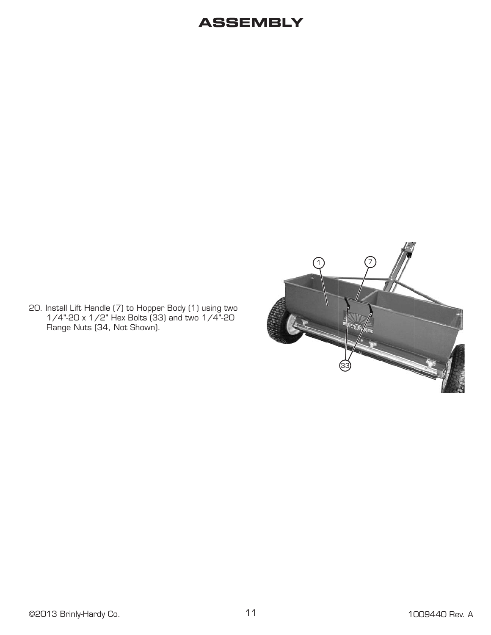

20. Install Lift Handle (7) to Hopper Body (1) using two 1/4"-20 x 1/2" Hex Bolts (33) and two 1/4"-20 Flange Nuts (34, Not Shown).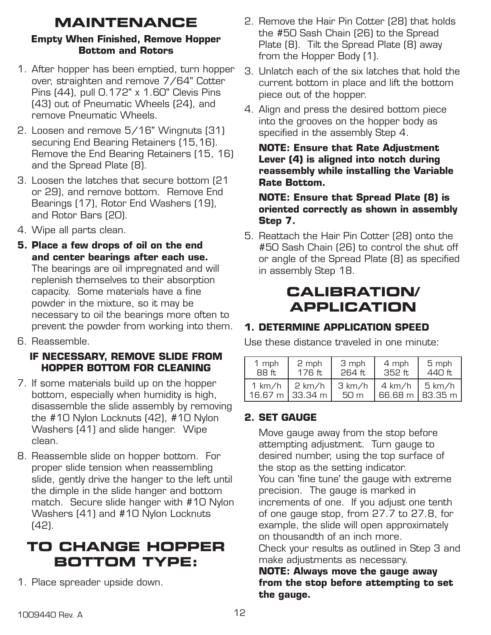## **MAINTENANCE**

#### **Empty When Finished, Remove Hopper Bottom and Rotors**

- 1. After hopper has been emptied, turn hopper over, straighten and remove 7/64" Cotter Pins (44), pull 0.172" x 1.60" Clevis Pins (43) out of Pneumatic Wheels (24), and remove Pneumatic Wheels.
- 2. Loosen and remove 5/16" Wingnuts (31) securing End Bearing Retainers (15,16). Remove the End Bearing Retainers (15, 16) and the Spread Plate (8).
- 3. Loosen the latches that secure bottom (21 or 29), and remove bottom. Remove End Bearings (17), Rotor End Washers (19), and Rotor Bars (20).
- 4. Wipe all parts clean.
- **5. Place a few drops of oil on the end and center bearings after each use.** The bearings are oil impregnated and will replenish themselves to their absorption capacity. Some materials have a fine powder in the mixture, so it may be necessary to oil the bearings more often to prevent the powder from working into them.
- 6. Reassemble.

#### **IF NECESSARY, REMOVE SLIDE FROM HOPPER BOTTOM FOR CLEANING**

- 7. If some materials build up on the hopper bottom, especially when humidity is high, disassemble the slide assembly by removing the #10 Nylon Locknuts (42), #10 Nylon Washers (41) and slide hanger. Wipe clean.
- 8. Reassemble slide on hopper bottom. For proper slide tension when reassembling slide, gently drive the hanger to the left until the dimple in the slide hanger and bottom match. Secure slide hanger with #10 Nylon Washers (41) and #10 Nylon Locknuts (42).

### **TO CHANGE HOPPER BOTTOM TYPE:**

1. Place spreader upside down.

- 2. Remove the Hair Pin Cotter (28) that holds the #50 Sash Chain (26) to the Spread Plate (8). Tilt the Spread Plate (8) away from the Hopper Body (1).
- 3. Unlatch each of the six latches that hold the current bottom in place and lift the bottom piece out of the hopper.
- 4. Align and press the desired bottom piece into the grooves on the hopper body as specified in the assembly Step 4.

#### **NOTE: Ensure that Rate Adjustment Lever (4) is aligned into notch during reassembly while installing the Variable Rate Bottom.**

#### **NOTE: Ensure that Spread Plate (8) is oriented correctly as shown in assembly Step 7.**

5. Reattach the Hair Pin Cotter (28) onto the #50 Sash Chain (26) to control the shut off or angle of the Spread Plate (8) as specified in assembly Step 18.

### **CALIBRATION/ APPLICATION**

#### **1. DETERMINE APPLICATION SPEED**

Use these distance traveled in one minute:

| 1 mph   | 2 mph            | 3 mph  | 4 mph  | 5 mph              |
|---------|------------------|--------|--------|--------------------|
| 88 ft   | 176 ft           | 264 ft | 352 ft | 440 ft             |
| 1 km/h  | $2 \text{ km/h}$ | 3 km/h | 4 km/h | $\frac{1}{5}$ km/h |
| 16.67 m | 133.34 m         | 50m    |        | 66.68 m   83.35 m  |

#### **2. SET GAUGE**

Move gauge away from the stop before attempting adjustment. Turn gauge to desired number, using the top surface of the stop as the setting indicator. You can 'fine tune' the gauge with extreme precision. The gauge is marked in increments of one. If you adjust one tenth of one gauge stop, from 27.7 to 27.8, for example, the slide will open approximately on thousandth of an inch more.

Check your results as outlined in Step 3 and make adjustments as necessary.

**NOTE: Always move the gauge away from the stop before attempting to set the gauge.**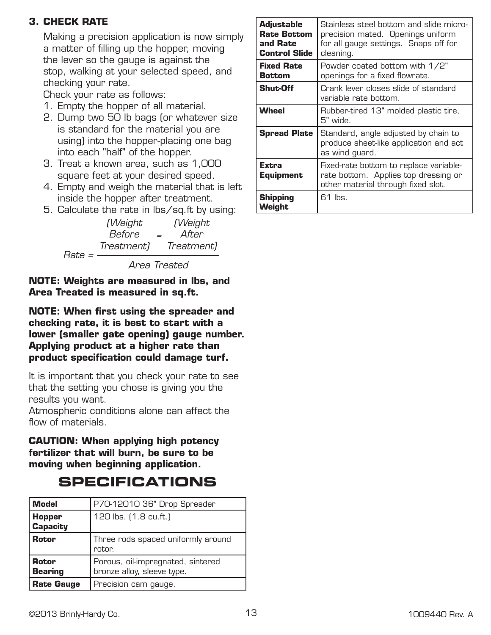#### **3. CHECK RATE**

Making a precision application is now simply a matter of filling up the hopper, moving the lever so the gauge is against the stop, walking at your selected speed, and checking your rate.

Check your rate as follows:

- 1. Empty the hopper of all material.
- 2. Dump two 50 lb bags (or whatever size is standard for the material you are using) into the hopper-placing one bag into each "half" of the hopper.
- 3. Treat a known area, such as 1,000 square feet at your desired speed.
- 4. Empty and weigh the material that is left inside the hopper after treatment.
- 5. Calculate the rate in lbs/sq.ft by using:

|        | (Weight    | (Weight)   |
|--------|------------|------------|
|        | Before     | After      |
| Rate = | Treatment) | Treatment) |
|        |            |            |

Area Treated

**NOTE: Weights are measured in lbs, and Area Treated is measured in sq.ft.**

**NOTE: When first using the spreader and checking rate, it is best to start with a lower (smaller gate opening) gauge number. Applying product at a higher rate than**  product specification could damage turf.

It is important that you check your rate to see that the setting you chose is giving you the results you want.

Atmospheric conditions alone can affect the flow of materials.

**CAUTION: When applying high potency fertilizer that will burn, be sure to be moving when beginning application.**

### **SPECIFICATIONS**

| <b>Model</b>                     | P70-12010 36" Drop Spreader                                     |
|----------------------------------|-----------------------------------------------------------------|
| <b>Hopper</b><br><b>Capacity</b> | 120 lbs. (1.8 cu.ft.)                                           |
| <b>Rotor</b>                     | Three rods spaced uniformly around<br>rotor.                    |
| <b>Rotor</b><br><b>Bearing</b>   | Porous, oil-impregnated, sintered<br>bronze alloy, sleeve type. |
| <b>Rate Gauge</b>                | Precision cam gauge.                                            |

| <b>Adjustable</b><br><b>Rate Bottom</b><br>and Rate<br><b>Control Slide</b> | Stainless steel bottom and slide micro-<br>precision mated. Openings uniform<br>for all gauge settings. Snaps off for<br>cleaning. |
|-----------------------------------------------------------------------------|------------------------------------------------------------------------------------------------------------------------------------|
| <b>Fixed Rate</b><br><b>Bottom</b>                                          | Powder coated bottom with 1/2"<br>openings for a fixed flowrate.                                                                   |
| <b>Shut-Off</b>                                                             | Crank lever closes slide of standard<br>variable rate bottom.                                                                      |
| <b>Wheel</b>                                                                | Rubber-tired 13" molded plastic tire,<br>5" wide.                                                                                  |
| <b>Spread Plate</b>                                                         | Standard, angle adjusted by chain to<br>produce sheet-like application and act<br>as wind guard.                                   |
| <b>Extra</b><br><b>Equipment</b>                                            | Fixed-rate bottom to replace variable-<br>rate bottom. Applies top dressing or<br>other material through fixed slot.               |
| <b>Shipping</b><br>Weight                                                   | $61$ lbs.                                                                                                                          |